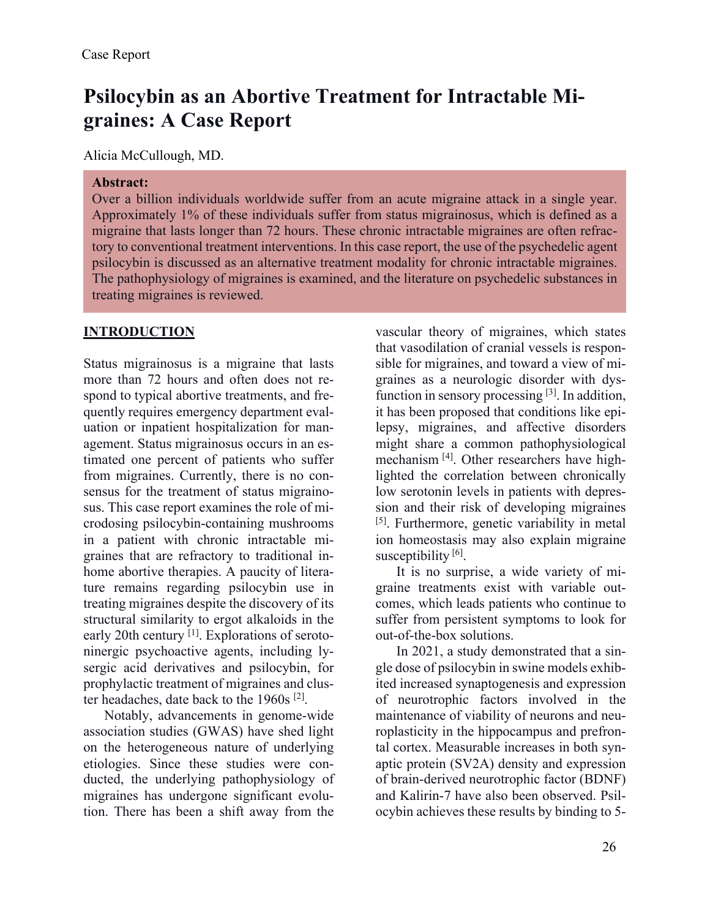# **Psilocybin as an Abortive Treatment for Intractable Migraines: A Case Report**

Alicia McCullough, MD.

#### **Abstract:**

Over a billion individuals worldwide suffer from an acute migraine attack in a single year. Approximately 1% of these individuals suffer from status migrainosus, which is defined as a migraine that lasts longer than 72 hours. These chronic intractable migraines are often refractory to conventional treatment interventions. In this case report, the use of the psychedelic agent psilocybin is discussed as an alternative treatment modality for chronic intractable migraines. The pathophysiology of migraines is examined, and the literature on psychedelic substances in treating migraines is reviewed.

## **INTRODUCTION**

Status migrainosus is a migraine that lasts more than 72 hours and often does not respond to typical abortive treatments, and frequently requires emergency department evaluation or inpatient hospitalization for management. Status migrainosus occurs in an estimated one percent of patients who suffer from migraines. Currently, there is no consensus for the treatment of status migrainosus. This case report examines the role of microdosing psilocybin-containing mushrooms in a patient with chronic intractable migraines that are refractory to traditional inhome abortive therapies. A paucity of literature remains regarding psilocybin use in treating migraines despite the discovery of its structural similarity to ergot alkaloids in the early 20th century [1]. Explorations of serotoninergic psychoactive agents, including lysergic acid derivatives and psilocybin, for prophylactic treatment of migraines and cluster headaches, date back to the 1960s [2].

Notably, advancements in genome-wide association studies (GWAS) have shed light on the heterogeneous nature of underlying etiologies. Since these studies were conducted, the underlying pathophysiology of migraines has undergone significant evolution. There has been a shift away from the

vascular theory of migraines, which states that vasodilation of cranial vessels is responsible for migraines, and toward a view of migraines as a neurologic disorder with dysfunction in sensory processing  $[3]$ . In addition, it has been proposed that conditions like epilepsy, migraines, and affective disorders might share a common pathophysiological mechanism [4]. Other researchers have highlighted the correlation between chronically low serotonin levels in patients with depression and their risk of developing migraines [5]. Furthermore, genetic variability in metal ion homeostasis may also explain migraine susceptibility  $[6]$ .

It is no surprise, a wide variety of migraine treatments exist with variable outcomes, which leads patients who continue to suffer from persistent symptoms to look for out-of-the-box solutions.

In 2021, a study demonstrated that a single dose of psilocybin in swine models exhibited increased synaptogenesis and expression of neurotrophic factors involved in the maintenance of viability of neurons and neuroplasticity in the hippocampus and prefrontal cortex. Measurable increases in both synaptic protein (SV2A) density and expression of brain-derived neurotrophic factor (BDNF) and Kalirin-7 have also been observed. Psilocybin achieves these results by binding to 5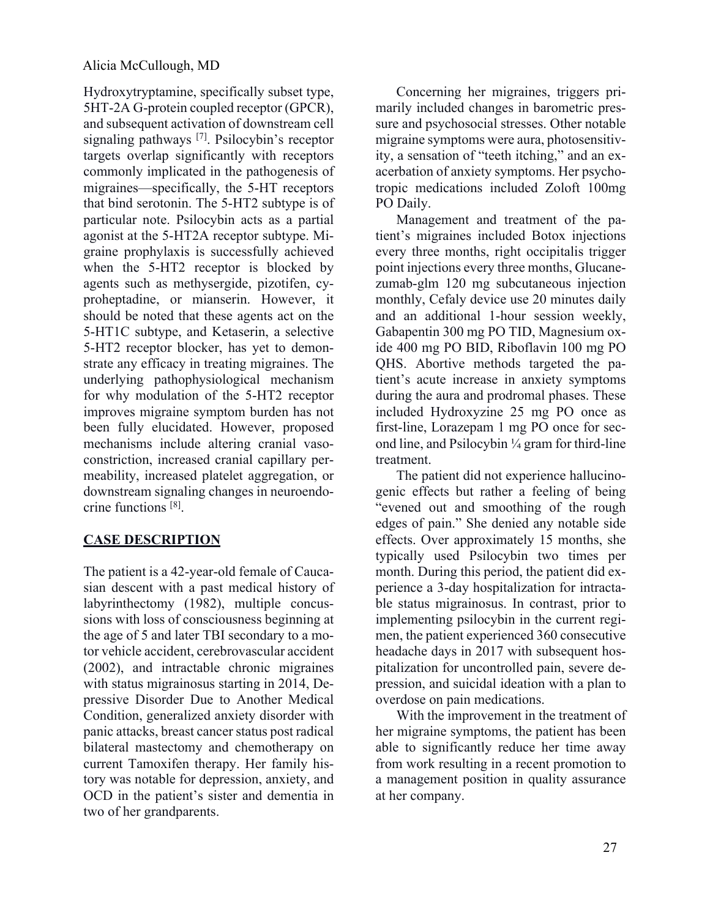Hydroxytryptamine, specifically subset type, 5HT-2A G-protein coupled receptor (GPCR), and subsequent activation of downstream cell signaling pathways [7]. Psilocybin's receptor targets overlap significantly with receptors commonly implicated in the pathogenesis of migraines—specifically, the 5-HT receptors that bind serotonin. The 5-HT2 subtype is of particular note. Psilocybin acts as a partial agonist at the 5-HT2A receptor subtype. Migraine prophylaxis is successfully achieved when the 5-HT2 receptor is blocked by agents such as methysergide, pizotifen, cyproheptadine, or mianserin. However, it should be noted that these agents act on the 5-HT1C subtype, and Ketaserin, a selective 5-HT2 receptor blocker, has yet to demonstrate any efficacy in treating migraines. The underlying pathophysiological mechanism for why modulation of the 5-HT2 receptor improves migraine symptom burden has not been fully elucidated. However, proposed mechanisms include altering cranial vasoconstriction, increased cranial capillary permeability, increased platelet aggregation, or downstream signaling changes in neuroendocrine functions [8].

# **CASE DESCRIPTION**

The patient is a 42-year-old female of Caucasian descent with a past medical history of labyrinthectomy (1982), multiple concussions with loss of consciousness beginning at the age of 5 and later TBI secondary to a motor vehicle accident, cerebrovascular accident (2002), and intractable chronic migraines with status migrainosus starting in 2014, Depressive Disorder Due to Another Medical Condition, generalized anxiety disorder with panic attacks, breast cancer status post radical bilateral mastectomy and chemotherapy on current Tamoxifen therapy. Her family history was notable for depression, anxiety, and OCD in the patient's sister and dementia in two of her grandparents.

Concerning her migraines, triggers primarily included changes in barometric pressure and psychosocial stresses. Other notable migraine symptoms were aura, photosensitivity, a sensation of "teeth itching," and an exacerbation of anxiety symptoms. Her psychotropic medications included Zoloft 100mg PO Daily.

Management and treatment of the patient's migraines included Botox injections every three months, right occipitalis trigger point injections every three months, Glucanezumab-glm 120 mg subcutaneous injection monthly, Cefaly device use 20 minutes daily and an additional 1-hour session weekly, Gabapentin 300 mg PO TID, Magnesium oxide 400 mg PO BID, Riboflavin 100 mg PO QHS. Abortive methods targeted the patient's acute increase in anxiety symptoms during the aura and prodromal phases. These included Hydroxyzine 25 mg PO once as first-line, Lorazepam 1 mg PO once for second line, and Psilocybin ¼ gram for third-line treatment.

The patient did not experience hallucinogenic effects but rather a feeling of being "evened out and smoothing of the rough edges of pain." She denied any notable side effects. Over approximately 15 months, she typically used Psilocybin two times per month. During this period, the patient did experience a 3-day hospitalization for intractable status migrainosus. In contrast, prior to implementing psilocybin in the current regimen, the patient experienced 360 consecutive headache days in 2017 with subsequent hospitalization for uncontrolled pain, severe depression, and suicidal ideation with a plan to overdose on pain medications.

With the improvement in the treatment of her migraine symptoms, the patient has been able to significantly reduce her time away from work resulting in a recent promotion to a management position in quality assurance at her company.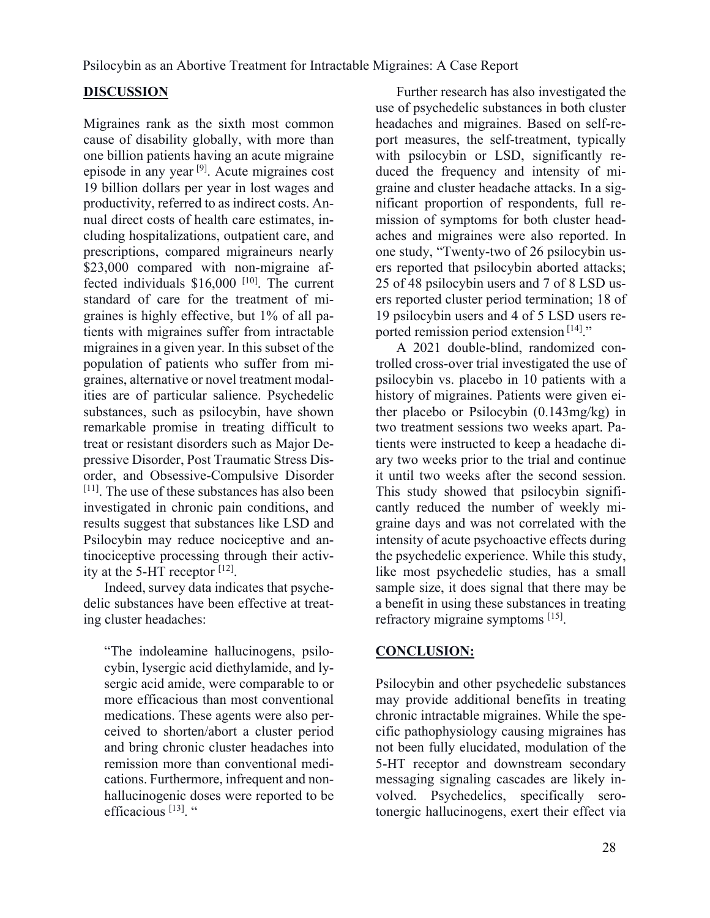Psilocybin as an Abortive Treatment for Intractable Migraines: A Case Report

### **DISCUSSION**

Migraines rank as the sixth most common cause of disability globally, with more than one billion patients having an acute migraine episode in any year [9]. Acute migraines cost 19 billion dollars per year in lost wages and productivity, referred to as indirect costs. Annual direct costs of health care estimates, including hospitalizations, outpatient care, and prescriptions, compared migraineurs nearly \$23,000 compared with non-migraine affected individuals \$16,000<sup>[10]</sup>. The current standard of care for the treatment of migraines is highly effective, but 1% of all patients with migraines suffer from intractable migraines in a given year. In this subset of the population of patients who suffer from migraines, alternative or novel treatment modalities are of particular salience. Psychedelic substances, such as psilocybin, have shown remarkable promise in treating difficult to treat or resistant disorders such as Major Depressive Disorder, Post Traumatic Stress Disorder, and Obsessive-Compulsive Disorder [11]. The use of these substances has also been investigated in chronic pain conditions, and results suggest that substances like LSD and Psilocybin may reduce nociceptive and antinociceptive processing through their activity at the 5-HT receptor [12].

Indeed, survey data indicates that psychedelic substances have been effective at treating cluster headaches:

"The indoleamine hallucinogens, psilocybin, lysergic acid diethylamide, and lysergic acid amide, were comparable to or more efficacious than most conventional medications. These agents were also perceived to shorten/abort a cluster period and bring chronic cluster headaches into remission more than conventional medications. Furthermore, infrequent and nonhallucinogenic doses were reported to be efficacious<sup>[13]</sup>. "

Further research has also investigated the use of psychedelic substances in both cluster headaches and migraines. Based on self-report measures, the self-treatment, typically with psilocybin or LSD, significantly reduced the frequency and intensity of migraine and cluster headache attacks. In a significant proportion of respondents, full remission of symptoms for both cluster headaches and migraines were also reported. In one study, "Twenty-two of 26 psilocybin users reported that psilocybin aborted attacks; 25 of 48 psilocybin users and 7 of 8 LSD users reported cluster period termination; 18 of 19 psilocybin users and 4 of 5 LSD users reported remission period extension<sup>[14]</sup>."

A 2021 double-blind, randomized controlled cross-over trial investigated the use of psilocybin vs. placebo in 10 patients with a history of migraines. Patients were given either placebo or Psilocybin (0.143mg/kg) in two treatment sessions two weeks apart. Patients were instructed to keep a headache diary two weeks prior to the trial and continue it until two weeks after the second session. This study showed that psilocybin significantly reduced the number of weekly migraine days and was not correlated with the intensity of acute psychoactive effects during the psychedelic experience. While this study, like most psychedelic studies, has a small sample size, it does signal that there may be a benefit in using these substances in treating refractory migraine symptoms [15].

## **CONCLUSION:**

Psilocybin and other psychedelic substances may provide additional benefits in treating chronic intractable migraines. While the specific pathophysiology causing migraines has not been fully elucidated, modulation of the 5-HT receptor and downstream secondary messaging signaling cascades are likely involved. Psychedelics, specifically serotonergic hallucinogens, exert their effect via